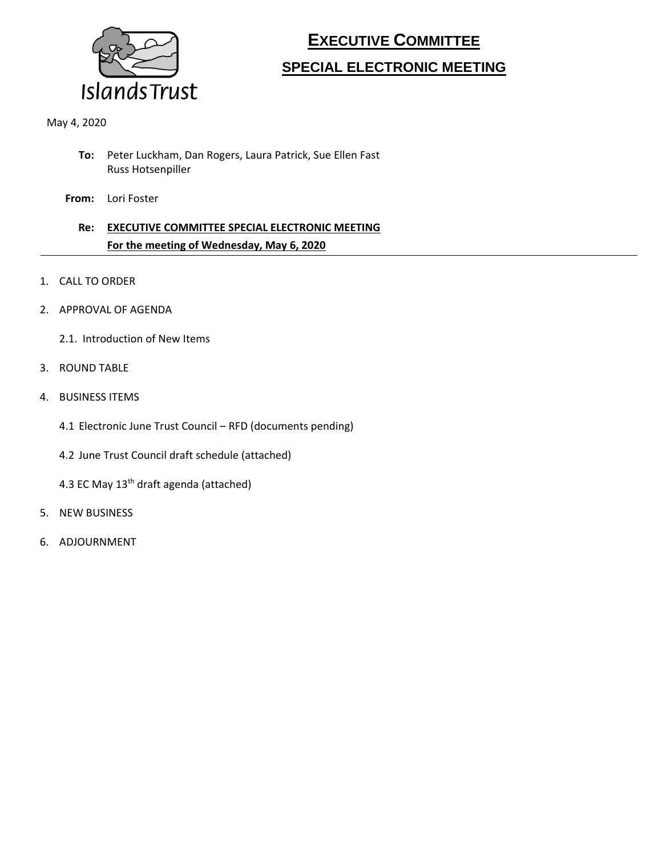

# **EXECUTIVE COMMITTEE SPECIAL ELECTRONIC MEETING**

May 4, 2020

- **To:** Peter Luckham, Dan Rogers, Laura Patrick, Sue Ellen Fast Russ Hotsenpiller
- **From:** Lori Foster

### **Re: EXECUTIVE COMMITTEE SPECIAL ELECTRONIC MEETING For the meeting of Wednesday, May 6, 2020**

- 1. CALL TO ORDER
- 2. APPROVAL OF AGENDA
	- 2.1. Introduction of New Items
- 3. ROUND TABLE
- 4. BUSINESS ITEMS
	- 4.1 Electronic June Trust Council RFD (documents pending)
	- 4.2 June Trust Council draft schedule (attached)
	- 4.3 EC May 13<sup>th</sup> draft agenda (attached)
- 5. NEW BUSINESS
- 6. ADJOURNMENT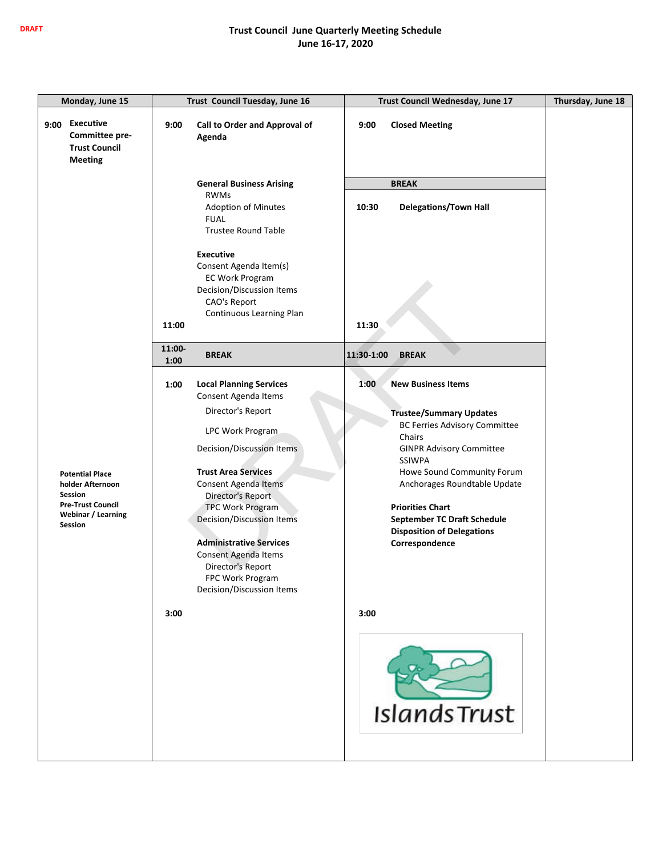#### **DRAFT Trust Council June Quarterly Meeting Schedule June 16-17, 2020**

| Monday, June 15                                                                      | Trust Council Tuesday, June 16                                          | Trust Council Wednesday, June 17                 | Thursday, June 18 |
|--------------------------------------------------------------------------------------|-------------------------------------------------------------------------|--------------------------------------------------|-------------------|
| <b>Executive</b><br>9:00<br>Committee pre-<br><b>Trust Council</b><br><b>Meeting</b> | 9:00<br>Call to Order and Approval of<br>Agenda                         | 9:00<br><b>Closed Meeting</b>                    |                   |
|                                                                                      | <b>General Business Arising</b>                                         | <b>BREAK</b>                                     |                   |
|                                                                                      | <b>RWMs</b>                                                             |                                                  |                   |
|                                                                                      | <b>Adoption of Minutes</b><br><b>FUAL</b><br><b>Trustee Round Table</b> | <b>Delegations/Town Hall</b><br>10:30            |                   |
|                                                                                      | <b>Executive</b>                                                        |                                                  |                   |
|                                                                                      | Consent Agenda Item(s)                                                  |                                                  |                   |
|                                                                                      | <b>EC Work Program</b>                                                  |                                                  |                   |
|                                                                                      | Decision/Discussion Items<br>CAO's Report                               |                                                  |                   |
|                                                                                      | Continuous Learning Plan                                                |                                                  |                   |
|                                                                                      | 11:00                                                                   | 11:30                                            |                   |
|                                                                                      | 11:00-<br><b>BREAK</b>                                                  | 11:30-1:00<br><b>BREAK</b>                       |                   |
|                                                                                      | 1:00                                                                    |                                                  |                   |
|                                                                                      | 1:00<br><b>Local Planning Services</b><br>Consent Agenda Items          | 1:00<br><b>New Business Items</b>                |                   |
|                                                                                      | Director's Report                                                       | <b>Trustee/Summary Updates</b>                   |                   |
|                                                                                      | LPC Work Program                                                        | <b>BC Ferries Advisory Committee</b>             |                   |
|                                                                                      | Decision/Discussion Items                                               | Chairs                                           |                   |
|                                                                                      |                                                                         | <b>GINPR Advisory Committee</b><br><b>SSIWPA</b> |                   |
| <b>Potential Place</b>                                                               | <b>Trust Area Services</b>                                              | Howe Sound Community Forum                       |                   |
| holder Afternoon                                                                     | Consent Agenda Items                                                    | Anchorages Roundtable Update                     |                   |
| Session<br><b>Pre-Trust Council</b>                                                  | Director's Report<br><b>TPC Work Program</b>                            | <b>Priorities Chart</b>                          |                   |
| Webinar / Learning                                                                   | <b>Decision/Discussion Items</b>                                        | <b>September TC Draft Schedule</b>               |                   |
| Session                                                                              |                                                                         | <b>Disposition of Delegations</b>                |                   |
|                                                                                      | <b>Administrative Services</b>                                          | Correspondence                                   |                   |
|                                                                                      | Consent Agenda Items<br>Director's Report                               |                                                  |                   |
|                                                                                      | FPC Work Program                                                        |                                                  |                   |
|                                                                                      | Decision/Discussion Items                                               |                                                  |                   |
|                                                                                      | 3:00                                                                    | 3:00                                             |                   |
|                                                                                      |                                                                         |                                                  |                   |
|                                                                                      |                                                                         | <b>Islands Trust</b>                             |                   |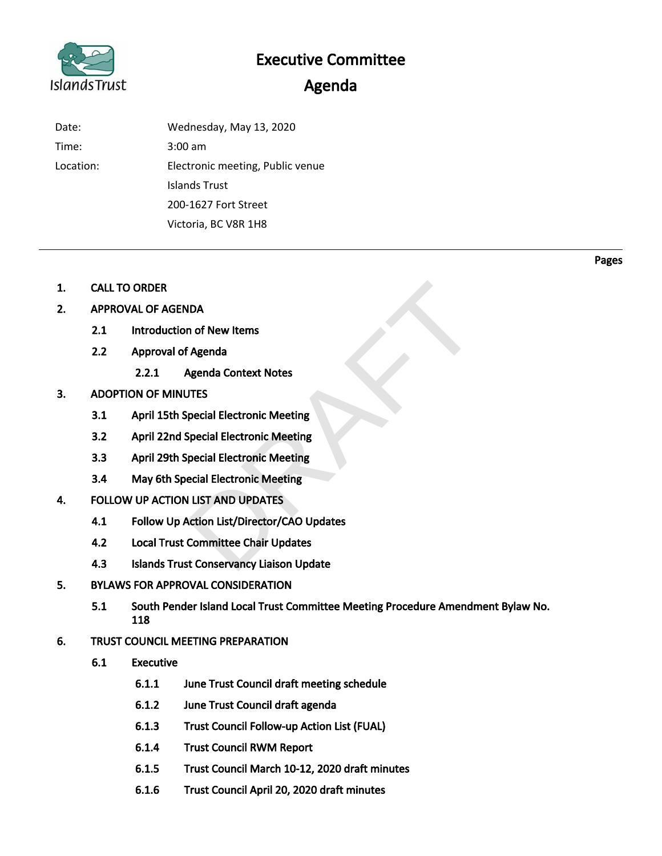# Islands Trust

# Executive Committee

## Agenda

| Date:     | Wednesday, May 13, 2020          |
|-----------|----------------------------------|
| Time:     | $3:00 \text{ am}$                |
| Location: | Electronic meeting, Public venue |
|           | Islands Trust                    |
|           | 200-1627 Fort Street             |
|           | Victoria, BC V8R 1H8             |

- 1. CALL TO ORDER
- 2. APPROVAL OF AGENDA
	- 2.1 Introduction of New Items
	- 2.2 Approval of Agenda
		- 2.2.1 Agenda Context Notes

#### 3. ADOPTION OF MINUTES

- 3.1 April 15th Special Electronic Meeting
- 3.2 April 22nd Special Electronic Meeting
- 3.3 April 29th Special Electronic Meeting
- 3.4 May 6th Special Electronic Meeting
- 4. FOLLOW UP ACTION LIST AND UPDATES
- 4.1 Follow Up Action List/Director/CAO Updates NDA<br>
n of New Items<br>
f Agenda<br>
Agenda Context Notes<br>
JTES<br>
Special Electronic Meeting<br>
Special Electronic Meeting<br>
special Electronic Meeting<br>
ecial Electronic Meeting<br>
N LIST AND UPDATES<br>
Action List/Director/CAO Updates<br>
	- 4.2 Local Trust Committee Chair Updates
	- 4.3 Islands Trust Conservancy Liaison Update
- 5. BYLAWS FOR APPROVAL CONSIDERATION
	- 5.1 South Pender Island Local Trust Committee Meeting Procedure Amendment Bylaw No. 118
- 6. TRUST COUNCIL MEETING PREPARATION
	- 6.1 Executive
		- 6.1.1 June Trust Council draft meeting schedule
		- 6.1.2 June Trust Council draft agenda
		- 6.1.3 Trust Council Follow-up Action List (FUAL)
		- 6.1.4 Trust Council RWM Report
		- 6.1.5 Trust Council March 10-12, 2020 draft minutes
		- 6.1.6 Trust Council April 20, 2020 draft minutes

Pages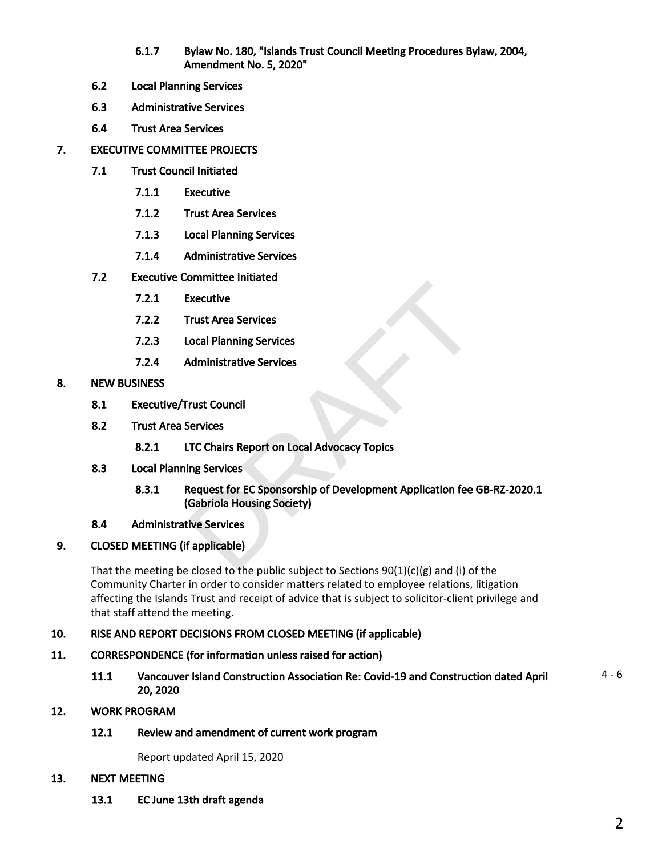- 6.1.7 Bylaw No. 180, "Islands Trust Council Meeting Procedures Bylaw, 2004, Amendment No. 5, 2020"
- 6.2 Local Planning Services
- 6.3 Administrative Services
- 6.4 Trust Area Services
- 7. EXECUTIVE COMMITTEE PROJECTS
	- 7.1 Trust Council Initiated
		- 7.1.1 Executive
		- 7.1.2 Trust Area Services
		- 7.1.3 Local Planning Services
		- 7.1.4 Administrative Services
	- 7.2 Executive Committee Initiated
		- 7.2.1 Executive
		- 7.2.2 Trust Area Services
		- 7.2.3 Local Planning Services
		- 7.2.4 Administrative Services
- 8. NEW BUSINESS
	- 8.1 Executive/Trust Council
	- 8.2 Trust Area Services
		- 8.2.1 LTC Chairs Report on Local Advocacy Topics
	- 8.3 Local Planning Services
- 8.3.1 Request for EC Sponsorship of Development Application fee GB-RZ-2020.1 (Gabriola Housing Society) Executive<br>
Executive<br>
Irust Area Services<br>
Administrative Services<br>
Services<br>
ITC Chairs Report on Local Advocacy Topics<br>
Interviews<br>
Request for EC Sponsorship of Development Application fee (<br>
Gabriola Housing Society)<br>
	- 8.4 Administrative Services

#### 9. CLOSED MEETING (if applicable)

That the meeting be closed to the public subject to Sections  $90(1)(c)(g)$  and (i) of the Community Charter in order to consider matters related to employee relations, litigation affecting the Islands Trust and receipt of advice that is subject to solicitor-client privilege and that staff attend the meeting.

#### 10. RISE AND REPORT DECISIONS FROM CLOSED MEETING (if applicable)

- 11. CORRESPONDENCE (for information unless raised for action)
	- 11.1 Vancouver Island Construction Association Re: Covid-19 and Construction dated April 20, 2020 4 - 6

#### 12. WORK PROGRAM

#### 12.1 Review and amendment of current work program

Report updated April 15, 2020

#### 13. NEXT MEETING

13.1 EC June 13th draft agenda